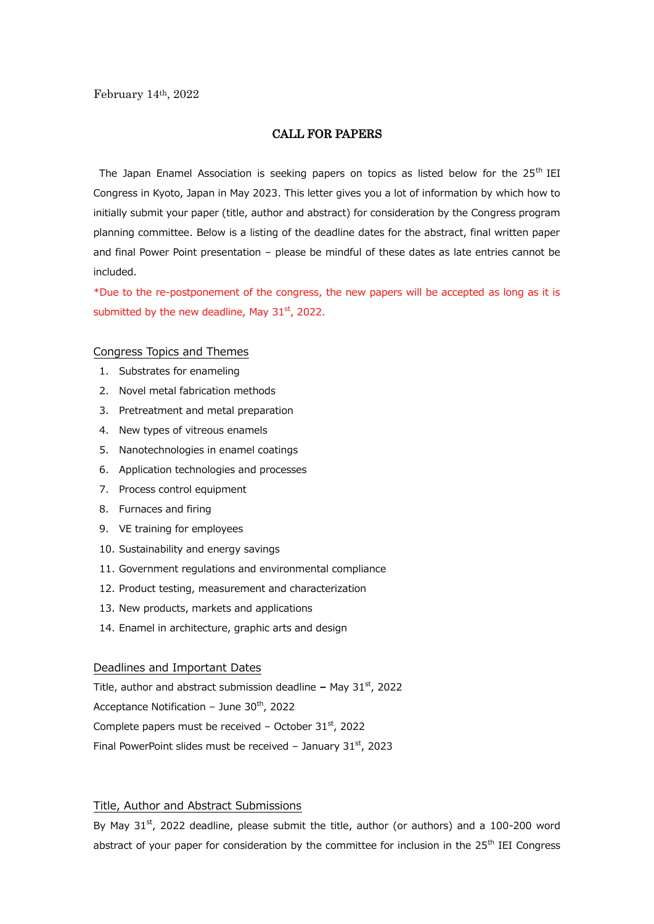## CALL FOR PAPERS

The Japan Enamel Association is seeking papers on topics as listed below for the  $25<sup>th</sup>$  IEI Congress in Kyoto, Japan in May 2023. This letter gives you a lot of information by which how to initially submit your paper (title, author and abstract) for consideration by the Congress program planning committee. Below is a listing of the deadline dates for the abstract, final written paper and final Power Point presentation – please be mindful of these dates as late entries cannot be included.

\*Due to the re-postponement of the congress, the new papers will be accepted as long as it is submitted by the new deadline, May  $31<sup>st</sup>$ , 2022.

#### Congress Topics and Themes

- 1. Substrates for enameling
- 2. Novel metal fabrication methods
- 3. Pretreatment and metal preparation
- 4. New types of vitreous enamels
- 5. Nanotechnologies in enamel coatings
- 6. Application technologies and processes
- 7. Process control equipment
- 8. Furnaces and firing
- 9. VE training for employees
- 10. Sustainability and energy savings
- 11. Government regulations and environmental compliance
- 12. Product testing, measurement and characterization
- 13. New products, markets and applications
- 14. Enamel in architecture, graphic arts and design

## Deadlines and Important Dates

Title, author and abstract submission deadline - May 31<sup>st</sup>, 2022 Acceptance Notification – June  $30<sup>th</sup>$ , 2022 Complete papers must be received - October  $31<sup>st</sup>$ , 2022 Final PowerPoint slides must be received - January  $31<sup>st</sup>$ , 2023

### Title, Author and Abstract Submissions

By May  $31^{st}$ , 2022 deadline, please submit the title, author (or authors) and a 100-200 word abstract of your paper for consideration by the committee for inclusion in the 25<sup>th</sup> IEI Congress